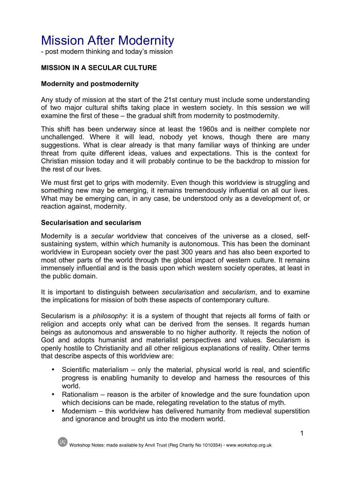# Mission After Modernity

- post modern thinking and today's mission

# **MISSION IN A SECULAR CULTURE**

## **Modernity and postmodernity**

Any study of mission at the start of the 21st century must include some understanding of two major cultural shifts taking place in western society. In this session we will examine the first of these – the gradual shift from modernity to postmodernity.

This shift has been underway since at least the 1960s and is neither complete nor unchallenged. Where it will lead, nobody yet knows, though there are many suggestions. What is clear already is that many familiar ways of thinking are under threat from quite different ideas, values and expectations. This is the context for Christian mission today and it will probably continue to be the backdrop to mission for the rest of our lives.

We must first get to grips with modernity. Even though this worldview is struggling and something new may be emerging, it remains tremendously influential on all our lives. What may be emerging can, in any case, be understood only as a development of, or reaction against, modernity.

## **Secularisation and secularism**

Modernity is a *secular* worldview that conceives of the universe as a closed, selfsustaining system, within which humanity is autonomous. This has been the dominant worldview in European society over the past 300 years and has also been exported to most other parts of the world through the global impact of western culture. It remains immensely influential and is the basis upon which western society operates, at least in the public domain.

It is important to distinguish between *secularisation* and *secularism*, and to examine the implications for mission of both these aspects of contemporary culture.

Secularism is a *philosophy*: it is a system of thought that rejects all forms of faith or religion and accepts only what can be derived from the senses. It regards human beings as autonomous and answerable to no higher authority. It rejects the notion of God and adopts humanist and materialist perspectives and values. Secularism is openly hostile to Christianity and all other religious explanations of reality. Other terms that describe aspects of this worldview are:

- Scientific materialism only the material, physical world is real, and scientific progress is enabling humanity to develop and harness the resources of this world.
- Rationalism reason is the arbiter of knowledge and the sure foundation upon which decisions can be made, relegating revelation to the status of myth.
- Modernism this worldview has delivered humanity from medieval superstition and ignorance and brought us into the modern world.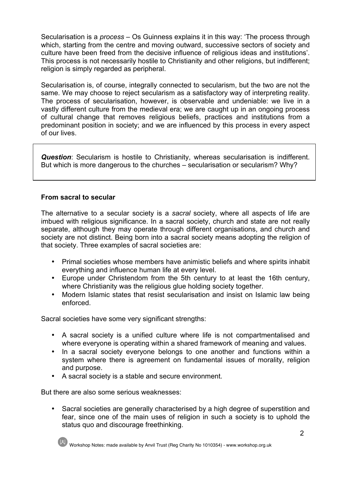Secularisation is a *process* – Os Guinness explains it in this way: 'The process through which, starting from the centre and moving outward, successive sectors of society and culture have been freed from the decisive influence of religious ideas and institutions'. This process is not necessarily hostile to Christianity and other religions, but indifferent; religion is simply regarded as peripheral.

Secularisation is, of course, integrally connected to secularism, but the two are not the same. We may choose to reject secularism as a satisfactory way of interpreting reality. The process of secularisation, however, is observable and undeniable: we live in a vastly different culture from the medieval era; we are caught up in an ongoing process of cultural change that removes religious beliefs, practices and institutions from a predominant position in society; and we are influenced by this process in every aspect of our lives.

*Question*: Secularism is hostile to Christianity, whereas secularisation is indifferent. But which is more dangerous to the churches – secularisation or secularism? Why?

## **From sacral to secular**

The alternative to a secular society is a *sacral* society, where all aspects of life are imbued with religious significance. In a sacral society, church and state are not really separate, although they may operate through different organisations, and church and society are not distinct. Being born into a sacral society means adopting the religion of that society. Three examples of sacral societies are:

- Primal societies whose members have animistic beliefs and where spirits inhabit everything and influence human life at every level.
- Europe under Christendom from the 5th century to at least the 16th century, where Christianity was the religious glue holding society together.
- Modern Islamic states that resist secularisation and insist on Islamic law being enforced.

Sacral societies have some very significant strengths:

- A sacral society is a unified culture where life is not compartmentalised and where everyone is operating within a shared framework of meaning and values.
- In a sacral society everyone belongs to one another and functions within a system where there is agreement on fundamental issues of morality, religion and purpose.
- A sacral society is a stable and secure environment.

But there are also some serious weaknesses:

• Sacral societies are generally characterised by a high degree of superstition and fear, since one of the main uses of religion in such a society is to uphold the status quo and discourage freethinking.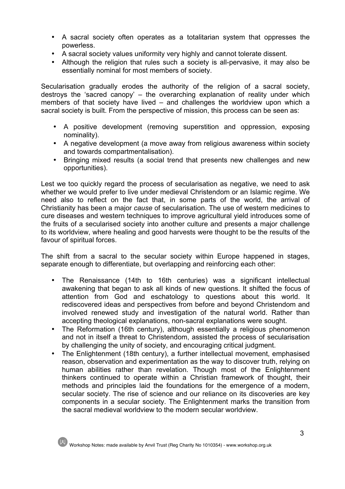- A sacral society often operates as a totalitarian system that oppresses the powerless.
- A sacral society values uniformity very highly and cannot tolerate dissent.
- Although the religion that rules such a society is all-pervasive, it may also be essentially nominal for most members of society.

Secularisation gradually erodes the authority of the religion of a sacral society, destroys the 'sacred canopy' – the overarching explanation of reality under which members of that society have lived – and challenges the worldview upon which a sacral society is built. From the perspective of mission, this process can be seen as:

- A positive development (removing superstition and oppression, exposing nominality).
- A negative development (a move away from religious awareness within society and towards compartmentalisation).
- Bringing mixed results (a social trend that presents new challenges and new opportunities).

Lest we too quickly regard the process of secularisation as negative, we need to ask whether we would prefer to live under medieval Christendom or an Islamic regime. We need also to reflect on the fact that, in some parts of the world, the arrival of Christianity has been a major *cause* of secularisation. The use of western medicines to cure diseases and western techniques to improve agricultural yield introduces some of the fruits of a secularised society into another culture and presents a major challenge to its worldview, where healing and good harvests were thought to be the results of the favour of spiritual forces.

The shift from a sacral to the secular society within Europe happened in stages, separate enough to differentiate, but overlapping and reinforcing each other:

- The Renaissance (14th to 16th centuries) was a significant intellectual awakening that began to ask all kinds of new questions. It shifted the focus of attention from God and eschatology to questions about this world. It rediscovered ideas and perspectives from before and beyond Christendom and involved renewed study and investigation of the natural world. Rather than accepting theological explanations, non-sacral explanations were sought.
- The Reformation (16th century), although essentially a religious phenomenon and not in itself a threat to Christendom, assisted the process of secularisation by challenging the unity of society, and encouraging critical judgment.
- The Enlightenment (18th century), a further intellectual movement, emphasised reason, observation and experimentation as the way to discover truth, relying on human abilities rather than revelation. Though most of the Enlightenment thinkers continued to operate within a Christian framework of thought, their methods and principles laid the foundations for the emergence of a modern, secular society. The rise of science and our reliance on its discoveries are key components in a secular society. The Enlightenment marks the transition from the sacral medieval worldview to the modern secular worldview.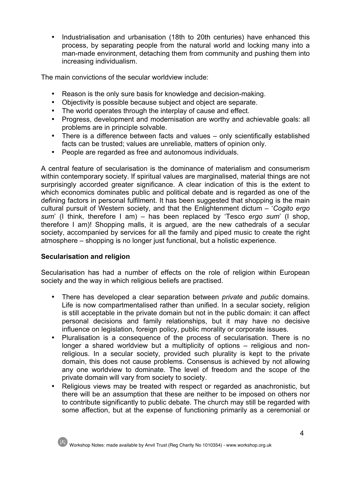• Industrialisation and urbanisation (18th to 20th centuries) have enhanced this process, by separating people from the natural world and locking many into a man-made environment, detaching them from community and pushing them into increasing individualism.

The main convictions of the secular worldview include:

- Reason is the only sure basis for knowledge and decision-making.
- Objectivity is possible because subject and object are separate.
- The world operates through the interplay of cause and effect.
- Progress, development and modernisation are worthy and achievable goals: all problems are in principle solvable.
- There is a difference between facts and values only scientifically established facts can be trusted; values are unreliable, matters of opinion only.
- People are regarded as free and autonomous individuals.

A central feature of secularisation is the dominance of materialism and consumerism within contemporary society. If spiritual values are marginalised, material things are not surprisingly accorded greater significance. A clear indication of this is the extent to which economics dominates public and political debate and is regarded as one of the defining factors in personal fulfilment. It has been suggested that shopping is the main cultural pursuit of Western society, and that the Enlightenment dictum – '*Cogito ergo sum*' (I think, therefore I am) – has been replaced by 'Tesco *ergo sum*' (I shop, therefore I am)! Shopping malls, it is argued, are the new cathedrals of a secular society, accompanied by services for all the family and piped music to create the right atmosphere – shopping is no longer just functional, but a holistic experience.

# **Secularisation and religion**

Secularisation has had a number of effects on the role of religion within European society and the way in which religious beliefs are practised.

- There has developed a clear separation between *private* and *public* domains. Life is now compartmentalised rather than unified. In a secular society, religion is still acceptable in the private domain but not in the public domain: it can affect personal decisions and family relationships, but it may have no decisive influence on legislation, foreign policy, public morality or corporate issues.
- Pluralisation is a consequence of the process of secularisation. There is no longer a shared worldview but a multiplicity of options – religious and nonreligious. In a secular society, provided such plurality is kept to the private domain, this does not cause problems. Consensus is achieved by not allowing any one worldview to dominate. The level of freedom and the scope of the private domain will vary from society to society.
- Religious views may be treated with respect or regarded as anachronistic, but there will be an assumption that these are neither to be imposed on others nor to contribute significantly to public debate. The church may still be regarded with some affection, but at the expense of functioning primarily as a ceremonial or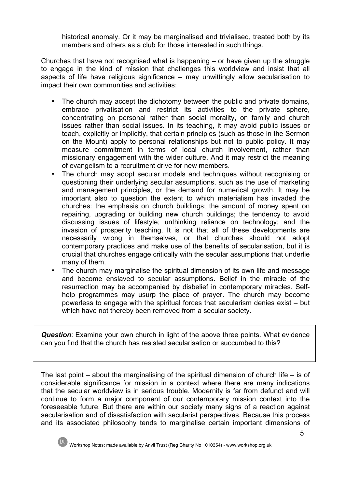historical anomaly. Or it may be marginalised and trivialised, treated both by its members and others as a club for those interested in such things.

Churches that have not recognised what is happening – or have given up the struggle to engage in the kind of mission that challenges this worldview and insist that all aspects of life have religious significance – may unwittingly allow secularisation to impact their own communities and activities:

- The church may accept the dichotomy between the public and private domains, embrace privatisation and restrict its activities to the private sphere, concentrating on personal rather than social morality, on family and church issues rather than social issues. In its teaching, it may avoid public issues or teach, explicitly or implicitly, that certain principles (such as those in the Sermon on the Mount) apply to personal relationships but not to public policy. It may measure commitment in terms of local church involvement, rather than missionary engagement with the wider culture. And it may restrict the meaning of evangelism to a recruitment drive for new members.
- The church may adopt secular models and techniques without recognising or questioning their underlying secular assumptions, such as the use of marketing and management principles, or the demand for numerical growth. It may be important also to question the extent to which materialism has invaded the churches: the emphasis on church buildings; the amount of money spent on repairing, upgrading or building new church buildings; the tendency to avoid discussing issues of lifestyle; unthinking reliance on technology; and the invasion of prosperity teaching. It is not that all of these developments are necessarily wrong in themselves, or that churches should not adopt contemporary practices and make use of the benefits of secularisation, but it is crucial that churches engage critically with the secular assumptions that underlie many of them.
- The church may marginalise the spiritual dimension of its own life and message and become enslaved to secular assumptions. Belief in the miracle of the resurrection may be accompanied by disbelief in contemporary miracles. Selfhelp programmes may usurp the place of prayer. The church may become powerless to engage with the spiritual forces that secularism denies exist – but which have not thereby been removed from a secular society.

*Question*: Examine your own church in light of the above three points. What evidence can you find that the church has resisted secularisation or succumbed to this?

The last point – about the marginalising of the spiritual dimension of church life – is of considerable significance for mission in a context where there are many indications that the secular worldview is in serious trouble. Modernity is far from defunct and will continue to form a major component of our contemporary mission context into the foreseeable future. But there are within our society many signs of a reaction against secularisation and of dissatisfaction with secularist perspectives. Because this process and its associated philosophy tends to marginalise certain important dimensions of

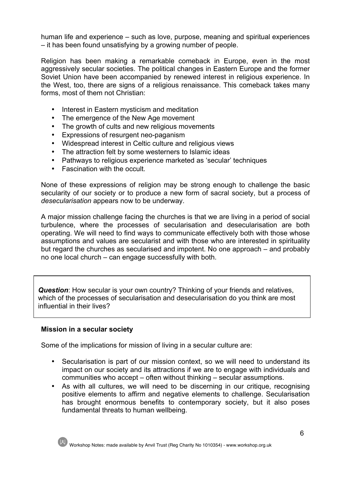human life and experience – such as love, purpose, meaning and spiritual experiences – it has been found unsatisfying by a growing number of people.

Religion has been making a remarkable comeback in Europe, even in the most aggressively secular societies. The political changes in Eastern Europe and the former Soviet Union have been accompanied by renewed interest in religious experience. In the West, too, there are signs of a religious renaissance. This comeback takes many forms, most of them not Christian:

- Interest in Eastern mysticism and meditation
- The emergence of the New Age movement
- The growth of cults and new religious movements
- Expressions of resurgent neo-paganism
- Widespread interest in Celtic culture and religious views
- The attraction felt by some westerners to Islamic ideas
- Pathways to religious experience marketed as 'secular' techniques
- Fascination with the occult.

None of these expressions of religion may be strong enough to challenge the basic secularity of our society or to produce a new form of sacral society, but a process of *desecularisation* appears now to be underway.

A major mission challenge facing the churches is that we are living in a period of social turbulence, where the processes of secularisation and desecularisation are both operating. We will need to find ways to communicate effectively both with those whose assumptions and values are secularist and with those who are interested in spirituality but regard the churches as secularised and impotent. No one approach – and probably no one local church – can engage successfully with both.

*Question*: How secular is your own country? Thinking of your friends and relatives, which of the processes of secularisation and desecularisation do you think are most influential in their lives?

## **Mission in a secular society**

Some of the implications for mission of living in a secular culture are:

- Secularisation is part of our mission context, so we will need to understand its impact on our society and its attractions if we are to engage with individuals and communities who accept – often without thinking – secular assumptions.
- As with all cultures, we will need to be discerning in our critique, recognising positive elements to affirm and negative elements to challenge. Secularisation has brought enormous benefits to contemporary society, but it also poses fundamental threats to human wellbeing.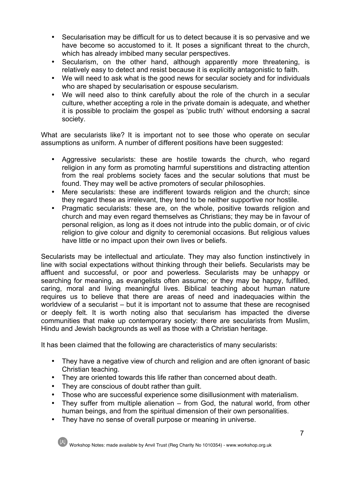- Secularisation may be difficult for us to detect because it is so pervasive and we have become so accustomed to it. It poses a significant threat to the church, which has already imbibed many secular perspectives.
- Secularism, on the other hand, although apparently more threatening, is relatively easy to detect and resist because it is explicitly antagonistic to faith.
- We will need to ask what is the good news for secular society and for individuals who are shaped by secularisation or espouse secularism.
- We will need also to think carefully about the role of the church in a secular culture, whether accepting a role in the private domain is adequate, and whether it is possible to proclaim the gospel as 'public truth' without endorsing a sacral society.

What are secularists like? It is important not to see those who operate on secular assumptions as uniform. A number of different positions have been suggested:

- Aggressive secularists: these are hostile towards the church, who regard religion in any form as promoting harmful superstitions and distracting attention from the real problems society faces and the secular solutions that must be found. They may well be active promoters of secular philosophies.
- Mere secularists: these are indifferent towards religion and the church; since they regard these as irrelevant, they tend to be neither supportive nor hostile.
- Pragmatic secularists: these are, on the whole, positive towards religion and church and may even regard themselves as Christians; they may be in favour of personal religion, as long as it does not intrude into the public domain, or of civic religion to give colour and dignity to ceremonial occasions. But religious values have little or no impact upon their own lives or beliefs.

Secularists may be intellectual and articulate. They may also function instinctively in line with social expectations without thinking through their beliefs. Secularists may be affluent and successful, or poor and powerless. Secularists may be unhappy or searching for meaning, as evangelists often assume; or they may be happy, fulfilled, caring, moral and living meaningful lives. Biblical teaching about human nature requires us to believe that there are areas of need and inadequacies within the worldview of a secularist – but it is important not to assume that these are recognised or deeply felt. It is worth noting also that secularism has impacted the diverse communities that make up contemporary society: there are secularists from Muslim, Hindu and Jewish backgrounds as well as those with a Christian heritage.

It has been claimed that the following are characteristics of many secularists:

- They have a negative view of church and religion and are often ignorant of basic Christian teaching.
- They are oriented towards this life rather than concerned about death.
- They are conscious of doubt rather than guilt.
- Those who are successful experience some disillusionment with materialism.
- They suffer from multiple alienation from God, the natural world, from other human beings, and from the spiritual dimension of their own personalities.
- They have no sense of overall purpose or meaning in universe.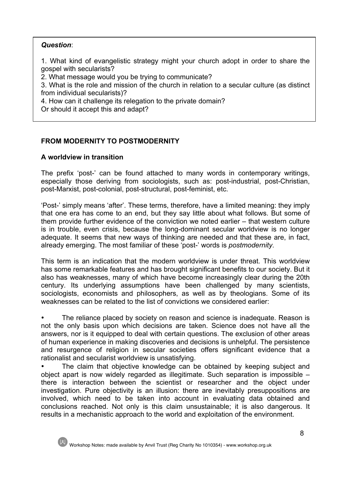# *Question*:

1. What kind of evangelistic strategy might your church adopt in order to share the gospel with secularists?

2. What message would you be trying to communicate?

3. What is the role and mission of the church in relation to a secular culture (as distinct from individual secularists)?

4. How can it challenge its relegation to the private domain?

Or should it accept this and adapt?

# **FROM MODERNITY TO POSTMODERNITY**

# **A worldview in transition**

The prefix 'post-' can be found attached to many words in contemporary writings, especially those deriving from sociologists, such as: post-industrial, post-Christian, post-Marxist, post-colonial, post-structural, post-feminist, etc.

'Post-' simply means 'after'. These terms, therefore, have a limited meaning: they imply that one era has come to an end, but they say little about what follows. But some of them provide further evidence of the conviction we noted earlier – that western culture is in trouble, even crisis, because the long-dominant secular worldview is no longer adequate. It seems that new ways of thinking are needed and that these are, in fact, already emerging. The most familiar of these 'post-' words is *postmodernity*.

This term is an indication that the modern worldview is under threat. This worldview has some remarkable features and has brought significant benefits to our society. But it also has weaknesses, many of which have become increasingly clear during the 20th century. Its underlying assumptions have been challenged by many scientists, sociologists, economists and philosophers, as well as by theologians. Some of its weaknesses can be related to the list of convictions we considered earlier:

• The reliance placed by society on reason and science is inadequate. Reason is not the only basis upon which decisions are taken. Science does not have all the answers, nor is it equipped to deal with certain questions. The exclusion of other areas of human experience in making discoveries and decisions is unhelpful. The persistence and resurgence of religion in secular societies offers significant evidence that a rationalist and secularist worldview is unsatisfying.

The claim that objective knowledge can be obtained by keeping subject and object apart is now widely regarded as illegitimate. Such separation is impossible – there is interaction between the scientist or researcher and the object under investigation. Pure objectivity is an illusion: there are inevitably presuppositions are involved, which need to be taken into account in evaluating data obtained and conclusions reached. Not only is this claim unsustainable; it is also dangerous. It results in a mechanistic approach to the world and exploitation of the environment.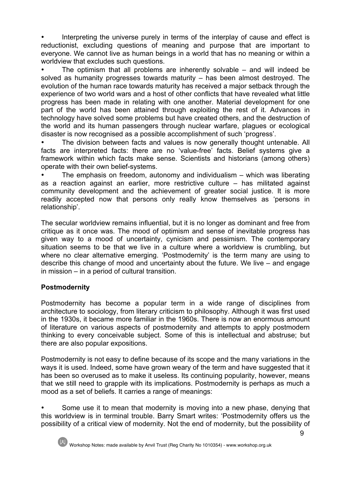Interpreting the universe purely in terms of the interplay of cause and effect is reductionist, excluding questions of meaning and purpose that are important to everyone. We cannot live as human beings in a world that has no meaning or within a worldview that excludes such questions.

The optimism that all problems are inherently solvable  $-$  and will indeed be solved as humanity progresses towards maturity – has been almost destroyed. The evolution of the human race towards maturity has received a major setback through the experience of two world wars and a host of other conflicts that have revealed what little progress has been made in relating with one another. Material development for one part of the world has been attained through exploiting the rest of it. Advances in technology have solved some problems but have created others, and the destruction of the world and its human passengers through nuclear warfare, plagues or ecological disaster is now recognised as a possible accomplishment of such 'progress'.

The division between facts and values is now generally thought untenable. All facts are interpreted facts: there are no 'value-free' facts. Belief systems give a framework within which facts make sense. Scientists and historians (among others) operate with their own belief-systems.

• The emphasis on freedom, autonomy and individualism – which was liberating as a reaction against an earlier, more restrictive culture – has militated against community development and the achievement of greater social justice. It is more readily accepted now that persons only really know themselves as 'persons in relationship'.

The secular worldview remains influential, but it is no longer as dominant and free from critique as it once was. The mood of optimism and sense of inevitable progress has given way to a mood of uncertainty, cynicism and pessimism. The contemporary situation seems to be that we live in a culture where a worldview is crumbling, but where no clear alternative emerging. 'Postmodernity' is the term many are using to describe this change of mood and uncertainty about the future. We live – and engage in mission – in a period of cultural transition.

# **Postmodernity**

Postmodernity has become a popular term in a wide range of disciplines from architecture to sociology, from literary criticism to philosophy. Although it was first used in the 1930s, it became more familiar in the 1960s. There is now an enormous amount of literature on various aspects of postmodernity and attempts to apply postmodern thinking to every conceivable subject. Some of this is intellectual and abstruse; but there are also popular expositions.

Postmodernity is not easy to define because of its scope and the many variations in the ways it is used. Indeed, some have grown weary of the term and have suggested that it has been so overused as to make it useless. Its continuing popularity, however, means that we still need to grapple with its implications. Postmodernity is perhaps as much a mood as a set of beliefs. It carries a range of meanings:

Some use it to mean that modernity is moving into a new phase, denying that this worldview is in terminal trouble. Barry Smart writes: 'Postmodernity offers us the possibility of a critical view of modernity. Not the end of modernity, but the possibility of

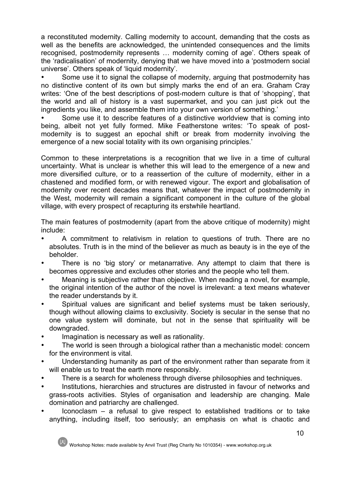a reconstituted modernity. Calling modernity to account, demanding that the costs as well as the benefits are acknowledged, the unintended consequences and the limits recognised, postmodernity represents … modernity coming of age'. Others speak of the 'radicalisation' of modernity, denying that we have moved into a 'postmodern social universe'. Others speak of 'liquid modernity'.

Some use it to signal the collapse of modernity, arguing that postmodernity has no distinctive content of its own but simply marks the end of an era. Graham Cray writes: 'One of the best descriptions of post-modern culture is that of 'shopping', that the world and all of history is a vast supermarket, and you can just pick out the ingredients you like, and assemble them into your own version of something.'

• Some use it to describe features of a distinctive worldview that is coming into being, albeit not yet fully formed. Mike Featherstone writes: 'To speak of postmodernity is to suggest an epochal shift or break from modernity involving the emergence of a new social totality with its own organising principles.'

Common to these interpretations is a recognition that we live in a time of cultural uncertainty. What is unclear is whether this will lead to the emergence of a new and more diversified culture, or to a reassertion of the culture of modernity, either in a chastened and modified form, or with renewed vigour. The export and globalisation of modernity over recent decades means that, whatever the impact of postmodernity in the West, modernity will remain a significant component in the culture of the global village, with every prospect of recapturing its erstwhile heartland.

The main features of postmodernity (apart from the above critique of modernity) might include:

- A commitment to relativism in relation to questions of truth. There are no absolutes. Truth is in the mind of the believer as much as beauty is in the eye of the beholder.
- There is no 'big story' or metanarrative. Any attempt to claim that there is becomes oppressive and excludes other stories and the people who tell them.
- Meaning is subjective rather than objective. When reading a novel, for example, the original intention of the author of the novel is irrelevant: a text means whatever the reader understands by it.
- Spiritual values are significant and belief systems must be taken seriously, though without allowing claims to exclusivity. Society is secular in the sense that no one value system will dominate, but not in the sense that spirituality will be downgraded.
- Imagination is necessary as well as rationality.
- The world is seen through a biological rather than a mechanistic model: concern for the environment is vital.
- Understanding humanity as part of the environment rather than separate from it will enable us to treat the earth more responsibly.
- There is a search for wholeness through diverse philosophies and techniques.
- Institutions, hierarchies and structures are distrusted in favour of networks and grass-roots activities. Styles of organisation and leadership are changing. Male domination and patriarchy are challenged.
- $I$  Iconoclasm a refusal to give respect to established traditions or to take anything, including itself, too seriously; an emphasis on what is chaotic and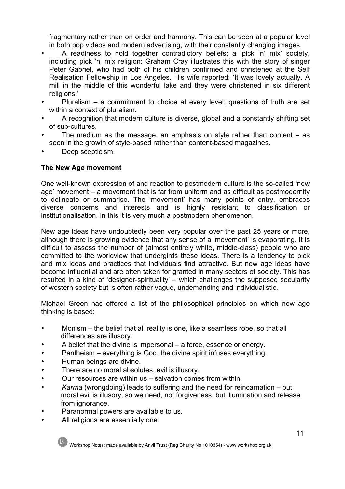fragmentary rather than on order and harmony. This can be seen at a popular level in both pop videos and modern advertising, with their constantly changing images.

- A readiness to hold together contradictory beliefs; a 'pick 'n' mix' society, including pick 'n' mix religion: Graham Cray illustrates this with the story of singer Peter Gabriel, who had both of his children confirmed and christened at the Self Realisation Fellowship in Los Angeles. His wife reported: 'It was lovely actually. A mill in the middle of this wonderful lake and they were christened in six different religions.'
- Pluralism a commitment to choice at every level; questions of truth are set within a context of pluralism.
- A recognition that modern culture is diverse, global and a constantly shifting set of sub-cultures.
- The medium as the message, an emphasis on style rather than content  $-$  as seen in the growth of style-based rather than content-based magazines.
- Deep scepticism.

# **The New Age movement**

One well-known expression of and reaction to postmodern culture is the so-called 'new age' movement – a movement that is far from uniform and as difficult as postmodernity to delineate or summarise. The 'movement' has many points of entry, embraces diverse concerns and interests and is highly resistant to classification or institutionalisation. In this it is very much a postmodern phenomenon.

New age ideas have undoubtedly been very popular over the past 25 years or more, although there is growing evidence that any sense of a 'movement' is evaporating. It is difficult to assess the number of (almost entirely white, middle-class) people who are committed to the worldview that undergirds these ideas. There is a tendency to pick and mix ideas and practices that individuals find attractive. But new age ideas have become influential and are often taken for granted in many sectors of society. This has resulted in a kind of 'designer-spirituality' – which challenges the supposed secularity of western society but is often rather vague, undemanding and individualistic.

Michael Green has offered a list of the philosophical principles on which new age thinking is based:

- Monism the belief that all reality is one, like a seamless robe, so that all differences are illusory.
- A belief that the divine is impersonal a force, essence or energy.
- Pantheism everything is God, the divine spirit infuses everything.
- Human beings are divine.
- There are no moral absolutes, evil is illusory.
- Our resources are within us salvation comes from within.
- *Karma* (wrongdoing) leads to suffering and the need for reincarnation but moral evil is illusory, so we need, not forgiveness, but illumination and release from ignorance.
- Paranormal powers are available to us.
- All religions are essentially one.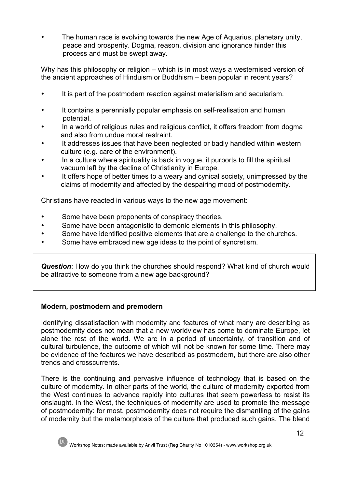• The human race is evolving towards the new Age of Aquarius, planetary unity, peace and prosperity. Dogma, reason, division and ignorance hinder this process and must be swept away.

Why has this philosophy or religion – which is in most ways a westernised version of the ancient approaches of Hinduism or Buddhism – been popular in recent years?

- It is part of the postmodern reaction against materialism and secularism.
- It contains a perennially popular emphasis on self-realisation and human potential.
- In a world of religious rules and religious conflict, it offers freedom from dogma and also from undue moral restraint.
- It addresses issues that have been neglected or badly handled within western culture (e.g. care of the environment).
- In a culture where spirituality is back in vogue, it purports to fill the spiritual vacuum left by the decline of Christianity in Europe.
- It offers hope of better times to a weary and cynical society, unimpressed by the claims of modernity and affected by the despairing mood of postmodernity.

Christians have reacted in various ways to the new age movement:

- Some have been proponents of conspiracy theories.
- Some have been antagonistic to demonic elements in this philosophy.
- Some have identified positive elements that are a challenge to the churches.
- Some have embraced new age ideas to the point of syncretism.

*Question*: How do you think the churches should respond? What kind of church would be attractive to someone from a new age background?

# **Modern, postmodern and premodern**

Identifying dissatisfaction with modernity and features of what many are describing as postmodernity does not mean that a new worldview has come to dominate Europe, let alone the rest of the world. We are in a period of uncertainty, of transition and of cultural turbulence, the outcome of which will not be known for some time. There may be evidence of the features we have described as postmodern, but there are also other trends and crosscurrents.

There is the continuing and pervasive influence of technology that is based on the culture of modernity. In other parts of the world, the culture of modernity exported from the West continues to advance rapidly into cultures that seem powerless to resist its onslaught. In the West, the techniques of modernity are used to promote the message of postmodernity: for most, postmodernity does not require the dismantling of the gains of modernity but the metamorphosis of the culture that produced such gains. The blend

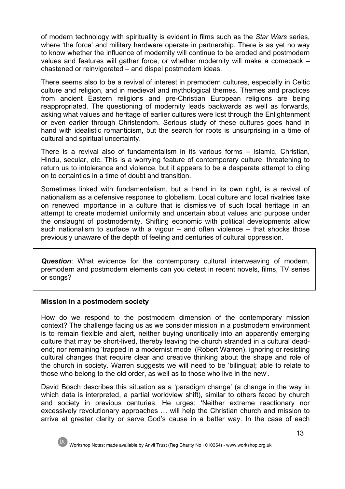of modern technology with spirituality is evident in films such as the *Star Wars* series, where 'the force' and military hardware operate in partnership. There is as yet no way to know whether the influence of modernity will continue to be eroded and postmodern values and features will gather force, or whether modernity will make a comeback – chastened or reinvigorated – and dispel postmodern ideas.

There seems also to be a revival of interest in premodern cultures, especially in Celtic culture and religion, and in medieval and mythological themes. Themes and practices from ancient Eastern religions and pre-Christian European religions are being reappropriated. The questioning of modernity leads backwards as well as forwards, asking what values and heritage of earlier cultures were lost through the Enlightenment or even earlier through Christendom. Serious study of these cultures goes hand in hand with idealistic romanticism, but the search for roots is unsurprising in a time of cultural and spiritual uncertainty.

There is a revival also of fundamentalism in its various forms – Islamic, Christian, Hindu, secular, etc. This is a worrying feature of contemporary culture, threatening to return us to intolerance and violence, but it appears to be a desperate attempt to cling on to certainties in a time of doubt and transition.

Sometimes linked with fundamentalism, but a trend in its own right, is a revival of nationalism as a defensive response to globalism. Local culture and local rivalries take on renewed importance in a culture that is dismissive of such local heritage in an attempt to create modernist uniformity and uncertain about values and purpose under the onslaught of postmodernity. Shifting economic with political developments allow such nationalism to surface with a vigour – and often violence – that shocks those previously unaware of the depth of feeling and centuries of cultural oppression.

*Question*: What evidence for the contemporary cultural interweaving of modern, premodern and postmodern elements can you detect in recent novels, films, TV series or songs?

## **Mission in a postmodern society**

How do we respond to the postmodern dimension of the contemporary mission context? The challenge facing us as we consider mission in a postmodern environment is to remain flexible and alert, neither buying uncritically into an apparently emerging culture that may be short-lived, thereby leaving the church stranded in a cultural deadend; nor remaining 'trapped in a modernist mode' (Robert Warren), ignoring or resisting cultural changes that require clear and creative thinking about the shape and role of the church in society. Warren suggests we will need to be 'bilingual; able to relate to those who belong to the old order, as well as to those who live in the new'.

David Bosch describes this situation as a 'paradigm change' (a change in the way in which data is interpreted, a partial worldview shift), similar to others faced by church and society in previous centuries. He urges: 'Neither extreme reactionary nor excessively revolutionary approaches … will help the Christian church and mission to arrive at greater clarity or serve God's cause in a better way. In the case of each